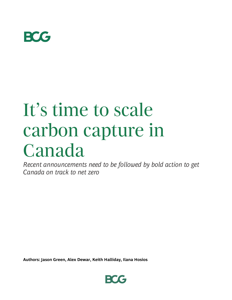

## It's time to scale carbon capture in Canada

*Recent announcements need to be followed by bold action to get Canada on track to net zero*

**Authors: Jason Green, Alex Dewar, Keith Halliday, Ilana Hosios**

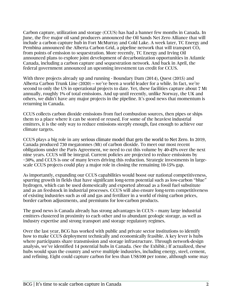Carbon capture, utilization and storage (CCUS) has had a banner few months in Canada. In June, the five major oil sand producers announced the Oil Sands Net Zero Alliance that will include a carbon capture hub in Fort McMurray and Cold Lake. A week later, TC Energy and Pembina announced the Alberta Carbon Grid, a pipeline network that will transport  $CO<sub>2</sub>$ from points of emission to sequestration. More recently, TC Energy and Irving Oil announced plans to explore joint development of decarbonization opportunities in Atlantic Canada, including a carbon capture and sequestration network. And back in April, the federal government announced an upcoming investment tax credit for CCUS.

With three projects already up and running - Boundary Dam (2014), Quest (2015) and Alberta Carbon Trunk Line (2020) – we've been a world leader for a while. In fact, we're second to only the US in operational projects to date. Yet, these facilities capture about 7 Mt annually, roughly 1% of total emissions. And up until recently, unlike Norway, the UK and others, we didn't have any major projects in the pipeline. It's good news that momentum is returning in Canada.

CCUS collects carbon dioxide emissions from fuel combustion sources, then pipes or ships them to a place where it can be stored or reused. For some of the heaviest industrial emitters, it is the only way to reduce emissions steeply enough, fast enough to achieve our climate targets.

CCUS plays a big role in any serious climate model that gets the world to Net Zero. In 2019, Canada produced 730 megatonnes (Mt) of carbon dioxide. To meet our most recent obligations under the Paris Agreement, we need to cut this volume by 40-45% over the next nine years. CCUS will be integral. Current policies are projected to reduce emissions by ~30%, and CCUS is one of many levers driving this reduction. Strategic investments in largescale CCUS projects could play a major role in closing the remaining 10-15% gap.

As importantly, expanding our CCUS capabilities would boost our national competitiveness, spurring growth in fields that have significant long-term potential such as low-carbon "blue" hydrogen, which can be used domestically and exported abroad as a fossil fuel substitute and as an feedstock in industrial processes. CCUS will also ensure long-term competitiveness of existing industries such as oil and gas and fertilizer in a world of rising carbon prices, border carbon adjustments, and premiums for low-carbon products.

The good news is Canada already has strong advantages in CCUS – many large industrial emitters clustered in proximity to each other and to abundant geologic storage, as well as industry expertise and strong transport and storage regulatory regimes.

Over the last year, BCG has worked with public and private sector institutions to identify how to make CCUS deployment technically and economically feasible. A key lever is hubs where participants share transmission and storage infrastructure. Through network-design analysis, we've identified 14 potential hubs in Canada. (See the Exhibit.) If actualized, these hubs would span the country and serve multiple industries, including energy, steel, cement, and refining. Eight could capture carbon for less than US\$100 per tonne, although some may